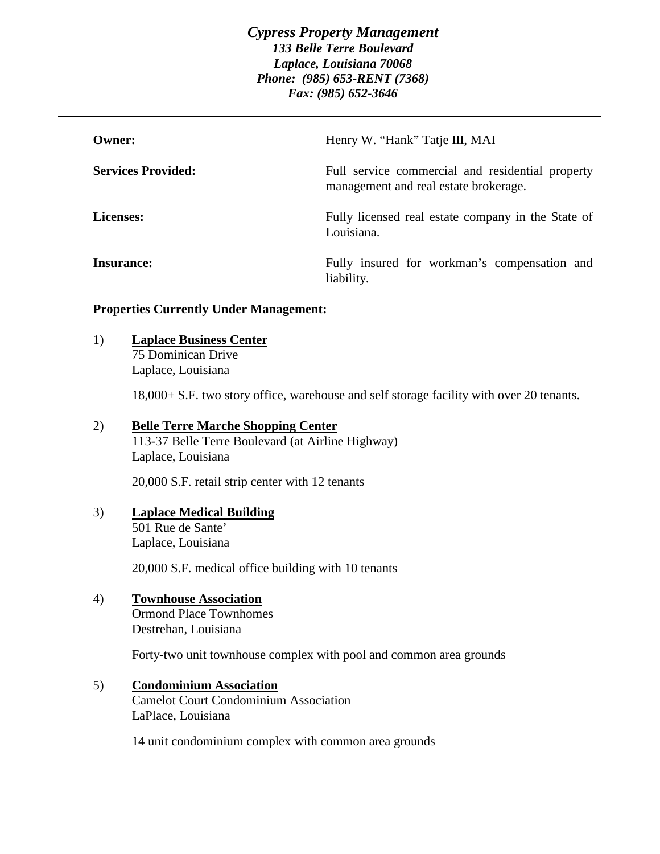| Owner:                    | Henry W. "Hank" Tatje III, MAI                                                            |
|---------------------------|-------------------------------------------------------------------------------------------|
| <b>Services Provided:</b> | Full service commercial and residential property<br>management and real estate brokerage. |
| <b>Licenses:</b>          | Fully licensed real estate company in the State of<br>Louisiana.                          |
| Insurance:                | Fully insured for workman's compensation and<br>liability.                                |

### **Properties Currently Under Management:**

### 1) **Laplace Business Center**

75 Dominican Drive Laplace, Louisiana

18,000+ S.F. two story office, warehouse and self storage facility with over 20 tenants.

# 2) **Belle Terre Marche Shopping Center**

113-37 Belle Terre Boulevard (at Airline Highway) Laplace, Louisiana

20,000 S.F. retail strip center with 12 tenants

# 3) **Laplace Medical Building** 501 Rue de Sante' Laplace, Louisiana

20,000 S.F. medical office building with 10 tenants

# 4) **Townhouse Association**

Ormond Place Townhomes Destrehan, Louisiana

Forty-two unit townhouse complex with pool and common area grounds

5) **Condominium Association** Camelot Court Condominium Association LaPlace, Louisiana

14 unit condominium complex with common area grounds